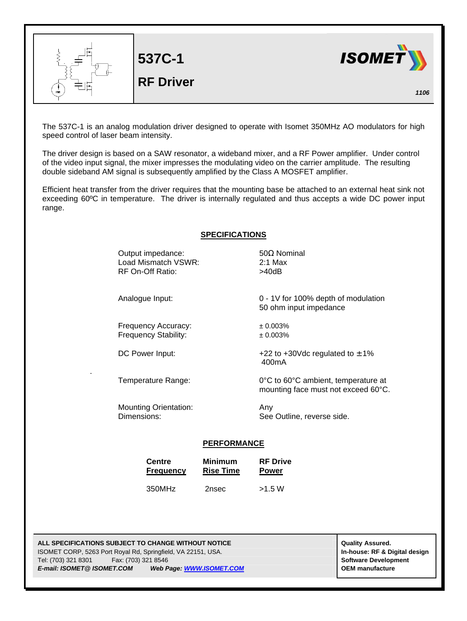

The 537C-1 is an analog modulation driver designed to operate with Isomet 350MHz AO modulators for high speed control of laser beam intensity.

The driver design is based on a SAW resonator, a wideband mixer, and a RF Power amplifier. Under control of the video input signal, the mixer impresses the modulating video on the carrier amplitude. The resulting double sideband AM signal is subsequently amplified by the Class A MOSFET amplifier.

Efficient heat transfer from the driver requires that the mounting base be attached to an external heat sink not exceeding 60ºC in temperature. The driver is internally regulated and thus accepts a wide DC power input range.

**SPECIFICATIONS**

| <b>OF EUIFIUM HUINO</b>                                      |                                                               |  |
|--------------------------------------------------------------|---------------------------------------------------------------|--|
| Output impedance:<br>Load Mismatch VSWR:<br>RF On-Off Ratio: | $50\Omega$ Nominal<br>$2:1$ Max<br>>40dB                      |  |
| Analogue Input:                                              | 0 - 1V for 100% depth of modulation<br>50 ohm input impedance |  |
| Frequency Accuracy:<br><b>Frequency Stability:</b>           | ± 0.003%<br>± 0.003%                                          |  |
| DC Power Input:                                              | +22 to +30Vdc regulated to $\pm$ 1%<br>400 <sub>m</sub> A     |  |

Temperature Range: 0°C to 60°C ambient, temperature at mounting face must not exceed 60°C.

Mounting Orientation: Any Dimensions: See Outline, reverse side.

## **PERFORMANCE**

| <b>Centre</b>    | <b>Minimum</b>   | <b>RF</b> Drive |
|------------------|------------------|-----------------|
| <b>Frequency</b> | <b>Rise Time</b> | <b>Power</b>    |
| 350MHz           | 2nsec            |                 |

**ALL SPECIFICATIONS SUBJECT TO CHANGE WITHOUT NOTICE ALL SPECIFICATIONS SUBJECT TO CHANGE WITHOUT NOTICE** ISOMET CORP, 5263 Port Royal Rd, Springfield, VA 22151, USA. **In-house: RF & Digital design** Tel: (703) 321 8301 Fax: (703) 321 8546 **Software Development** *E-mail: ISOMET@ ISOMET.COM Web Page: WWW.ISOMET.COM* **OEM manufacture**

.